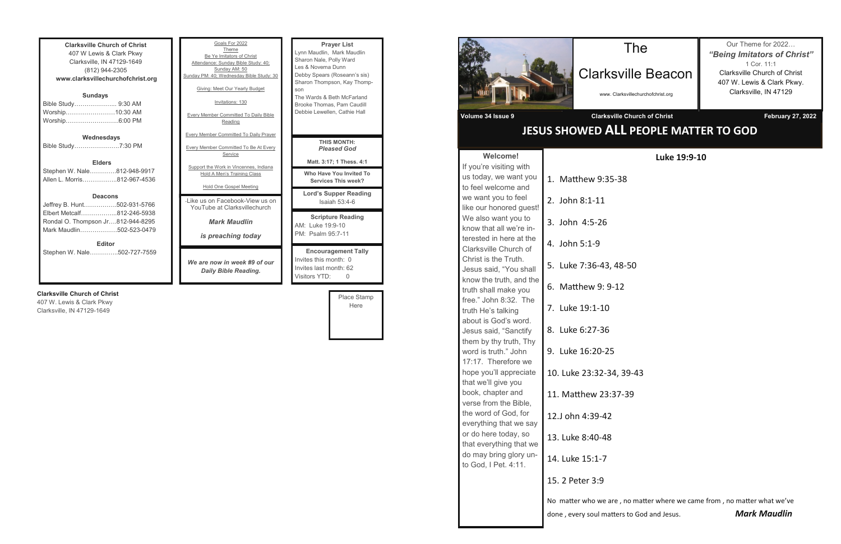**Clarksville Church of Christ** 407 W Lewis & Clark Pkwy Clarksville, IN 47129-1649 (812) 944-2305 **www.clarksvillechurchofchrist.org Sundays** Bible Study………………... 9:30 AM Worship……………………10:30 AM Worship……………………..6:00 PM **Wednesdays** Bible Study………………….7:30 PM

**Elders** Stephen W. Nale………….812-948-9917 Allen L. Morris……………..812-967-4536

#### **Deacons**

| <b>Editor</b>                     |  |
|-----------------------------------|--|
| Mark Maudlin502-523-0479          |  |
| Rondal O. Thompson Jr812-944-8295 |  |
| Elbert Metcalf812-246-5938        |  |
| Jeffrey B. Hunt502-931-5766       |  |

Stephen W. Nale…………..502-727-7559

### **Clarksville Church of Christ**

407 W. Lewis & Clark Pkwy Clarksville, IN 47129-1649

| Goals For 2022<br>Theme<br>Be Ye Imitators of Christ<br>Attendance: Sunday Bible Study: 40;<br>Sunday AM: 50<br>Sunday PM: 40; Wednesday Bible Study: 30<br>Giving: Meet Our Yearly Budget<br>Invitations: 130<br><b>Every Member Committed To Daily Bible</b><br>Reading<br><b>Every Member Committed To Daily Prayer</b> | <b>Prayer List</b><br>Lynn Maudlin, Mark Maudlin<br>Sharon Nale, Polly Ward<br>Les & Novema Dunn<br>Debby Spears (Roseann's sis)<br>Sharon Thompson, Kay Thomp-<br>son<br>The Wards & Beth McFarland<br>Brooke Thomas, Pam Caudill<br>Debbie Lewellen, Cathie Hall |
|----------------------------------------------------------------------------------------------------------------------------------------------------------------------------------------------------------------------------------------------------------------------------------------------------------------------------|--------------------------------------------------------------------------------------------------------------------------------------------------------------------------------------------------------------------------------------------------------------------|
| <b>Every Member Committed To Be At Every</b>                                                                                                                                                                                                                                                                               | THIS MONTH:                                                                                                                                                                                                                                                        |
| Service                                                                                                                                                                                                                                                                                                                    | <b>Pleased God</b>                                                                                                                                                                                                                                                 |
| Support the Work in Vincennes, Indiana                                                                                                                                                                                                                                                                                     | Matt. 3:17; 1 Thess. 4:1                                                                                                                                                                                                                                           |
| Hold A Men's Training Class                                                                                                                                                                                                                                                                                                | Who Have You Invited To                                                                                                                                                                                                                                            |
| Hold One Gospel Meeting                                                                                                                                                                                                                                                                                                    | Services This week?                                                                                                                                                                                                                                                |
| - like us on Facebook-View us on                                                                                                                                                                                                                                                                                           | <b>Lord's Supper Reading</b>                                                                                                                                                                                                                                       |
| YouTube at Clarksvillechurch                                                                                                                                                                                                                                                                                               | Isaiah $53:4-6$                                                                                                                                                                                                                                                    |
| <b>Mark Maudlin</b><br><i>is preaching today</i>                                                                                                                                                                                                                                                                           | <b>Scripture Reading</b><br>AM: Luke 19:9-10<br>PM: Psalm 95:7-11                                                                                                                                                                                                  |
| We are now in week #9 of our<br>Daily Bible Reading.                                                                                                                                                                                                                                                                       | <b>Encouragement Tally</b><br>Invites this month: 0<br>Invites last month: 62<br>Visitors YTD:<br>0                                                                                                                                                                |

e, no matter where we came from, no matter what we've done , every soul matters to God and Jesus. *Mark Maudlin*

Place Stamp Here



| <b>Welcome!</b>                                    |                       |
|----------------------------------------------------|-----------------------|
| If you're visiting with                            |                       |
| us today, we want you                              | 1. Matthew 9:35-      |
| to feel welcome and                                |                       |
| we want you to feel                                | 2. John 8:1-11        |
| like our honored guest!                            |                       |
| We also want you to                                | 3. John 4:5-26        |
| know that all we're in-<br>terested in here at the |                       |
| Clarksville Church of                              | 4. John 5:1-9         |
| Christ is the Truth.                               |                       |
| Jesus said, "You shall                             | 5. Luke 7:36-43, 4    |
| know the truth, and the                            |                       |
| truth shall make you                               | 6. Matthew 9: 9-3     |
| free." John 8:32. The                              |                       |
| truth He's talking                                 | 7. Luke 19:1-10       |
| about is God's word.                               |                       |
| Jesus said, "Sanctify                              | 8. Luke 6:27-36       |
| them by thy truth, Thy                             |                       |
| word is truth." John                               | 9. Luke 16:20-25      |
| 17:17. Therefore we                                |                       |
| hope you'll appreciate                             | 10. Luke 23:32-34     |
| that we'll give you                                |                       |
| book, chapter and<br>verse from the Bible,         | 11. Matthew 23:3      |
| the word of God, for                               |                       |
| everything that we say                             | 12.J ohn 4:39-42      |
| or do here today, so                               |                       |
| that everything that we                            | 13. Luke 8:40-48      |
| do may bring glory un-                             |                       |
| to God, I Pet. 4:11.                               | 14. Luke 15:1-7       |
|                                                    |                       |
|                                                    | 15. 2 Peter 3:9       |
|                                                    | No matter who we are  |
|                                                    |                       |
|                                                    | done, every soul matt |

# **JESUS SHOWED ALL PEOPLE MATTER TO GOD**

The

Clarksville Beacon

www. Clarksvillechurchofchrist.org

**Volume 34 Issue 9 Clarksville Church of Christ February 27, 2022** 

Our Theme for 2022… *"Being Imitators of Christ"* 1 Cor. 11:1 Clarksville Church of Christ 407 W. Lewis & Clark Pkwy. Clarksville, IN 47129

**Luke 19:9-10**

 $-38$ 

48-50

 $-12$ 

4, 39-43

37-39